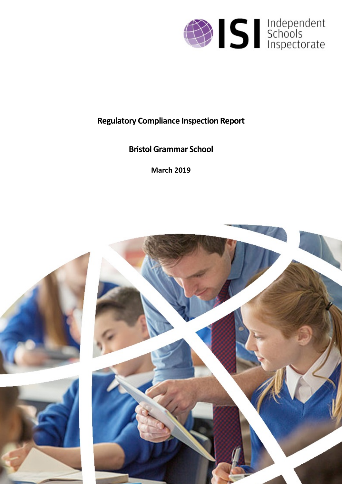

# **Regulatory Compliance Inspection Report**

**Bristol Grammar School**

**March 2019**

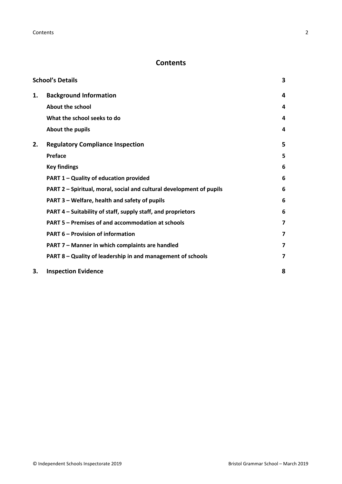# **Contents**

|    | <b>School's Details</b>                                              | 3 |
|----|----------------------------------------------------------------------|---|
| 1. | <b>Background Information</b>                                        | 4 |
|    | <b>About the school</b>                                              | 4 |
|    | What the school seeks to do                                          | 4 |
|    | About the pupils                                                     | 4 |
| 2. | <b>Regulatory Compliance Inspection</b>                              | 5 |
|    | Preface                                                              | 5 |
|    | <b>Key findings</b>                                                  | 6 |
|    | PART 1 - Quality of education provided                               | 6 |
|    | PART 2 - Spiritual, moral, social and cultural development of pupils | 6 |
|    | PART 3 - Welfare, health and safety of pupils                        | 6 |
|    | PART 4 – Suitability of staff, supply staff, and proprietors         | 6 |
|    | PART 5 - Premises of and accommodation at schools                    | 7 |
|    | <b>PART 6 - Provision of information</b>                             | 7 |
|    | PART 7 - Manner in which complaints are handled                      | 7 |
|    | PART 8 - Quality of leadership in and management of schools          | 7 |
| 3. | <b>Inspection Evidence</b>                                           | 8 |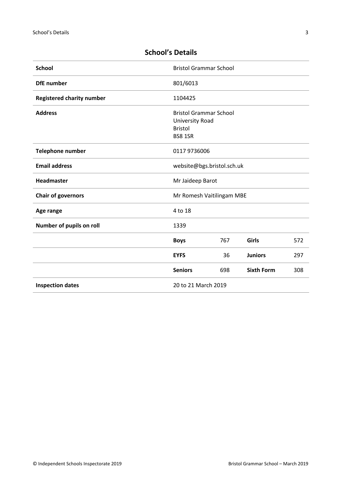| <b>School</b>                    | <b>Bristol Grammar School</b> |     |                   |     |
|----------------------------------|-------------------------------|-----|-------------------|-----|
| <b>DfE</b> number                | 801/6013                      |     |                   |     |
| <b>Registered charity number</b> | 1104425                       |     |                   |     |
| <b>Address</b>                   | <b>Bristol Grammar School</b> |     |                   |     |
|                                  | University Road               |     |                   |     |
|                                  | <b>Bristol</b>                |     |                   |     |
|                                  | <b>BS8 1SR</b>                |     |                   |     |
| <b>Telephone number</b>          | 0117 9736006                  |     |                   |     |
| <b>Email address</b>             | website@bgs.bristol.sch.uk    |     |                   |     |
| Headmaster                       | Mr Jaideep Barot              |     |                   |     |
| <b>Chair of governors</b>        | Mr Romesh Vaitilingam MBE     |     |                   |     |
| Age range                        | 4 to 18                       |     |                   |     |
| Number of pupils on roll         | 1339                          |     |                   |     |
|                                  | <b>Boys</b>                   | 767 | <b>Girls</b>      | 572 |
|                                  | <b>EYFS</b>                   | 36  | <b>Juniors</b>    | 297 |
|                                  | <b>Seniors</b>                | 698 | <b>Sixth Form</b> | 308 |
| <b>Inspection dates</b>          | 20 to 21 March 2019           |     |                   |     |

# <span id="page-2-0"></span>**School's Details**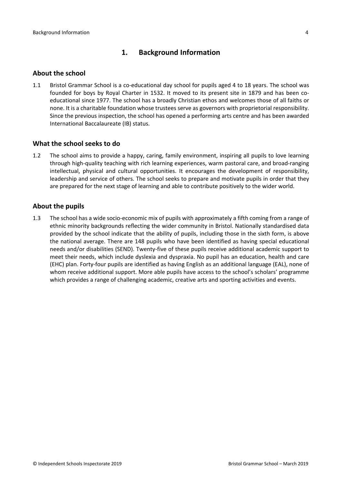# <span id="page-3-0"></span>**1. Background Information**

#### <span id="page-3-1"></span>**About the school**

1.1 Bristol Grammar School is a co-educational day school for pupils aged 4 to 18 years. The school was founded for boys by Royal Charter in 1532. It moved to its present site in 1879 and has been coeducational since 1977. The school has a broadly Christian ethos and welcomes those of all faiths or none. It is a charitable foundation whose trustees serve as governors with proprietorial responsibility. Since the previous inspection, the school has opened a performing arts centre and has been awarded International Baccalaureate (IB) status.

#### <span id="page-3-2"></span>**What the school seeks to do**

1.2 The school aims to provide a happy, caring, family environment, inspiring all pupils to love learning through high-quality teaching with rich learning experiences, warm pastoral care, and broad-ranging intellectual, physical and cultural opportunities. It encourages the development of responsibility, leadership and service of others. The school seeks to prepare and motivate pupils in order that they are prepared for the next stage of learning and able to contribute positively to the wider world.

#### <span id="page-3-3"></span>**About the pupils**

1.3 The school has a wide socio-economic mix of pupils with approximately a fifth coming from a range of ethnic minority backgrounds reflecting the wider community in Bristol. Nationally standardised data provided by the school indicate that the ability of pupils, including those in the sixth form, is above the national average. There are 148 pupils who have been identified as having special educational needs and/or disabilities (SEND). Twenty-five of these pupils receive additional academic support to meet their needs, which include dyslexia and dyspraxia. No pupil has an education, health and care (EHC) plan. Forty-four pupils are identified as having English as an additional language (EAL), none of whom receive additional support. More able pupils have access to the school's scholars' programme which provides a range of challenging academic, creative arts and sporting activities and events.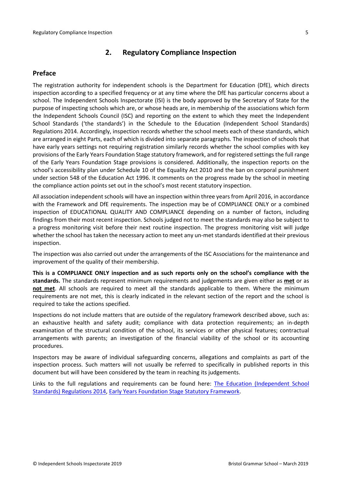# <span id="page-4-0"></span>**2. Regulatory Compliance Inspection**

## <span id="page-4-1"></span>**Preface**

The registration authority for independent schools is the Department for Education (DfE), which directs inspection according to a specified frequency or at any time where the DfE has particular concerns about a school. The Independent Schools Inspectorate (ISI) is the body approved by the Secretary of State for the purpose of inspecting schools which are, or whose heads are, in membership of the associations which form the Independent Schools Council (ISC) and reporting on the extent to which they meet the Independent School Standards ('the standards') in the Schedule to the Education (Independent School Standards) Regulations 2014. Accordingly, inspection records whether the school meets each of these standards, which are arranged in eight Parts, each of which is divided into separate paragraphs. The inspection of schools that have early years settings not requiring registration similarly records whether the school complies with key provisions of the Early Years Foundation Stage statutory framework, and for registered settings the full range of the Early Years Foundation Stage provisions is considered. Additionally, the inspection reports on the school's accessibility plan under Schedule 10 of the Equality Act 2010 and the ban on corporal punishment under section 548 of the Education Act 1996. It comments on the progress made by the school in meeting the compliance action points set out in the school's most recent statutory inspection.

All association independent schools will have an inspection within three yearsfrom April 2016, in accordance with the Framework and DfE requirements. The inspection may be of COMPLIANCE ONLY or a combined inspection of EDUCATIONAL QUALITY AND COMPLIANCE depending on a number of factors, including findings from their most recent inspection. Schools judged not to meet the standards may also be subject to a progress monitoring visit before their next routine inspection. The progress monitoring visit will judge whether the school has taken the necessary action to meet any un-met standards identified at their previous inspection.

The inspection was also carried out under the arrangements of the ISC Associations for the maintenance and improvement of the quality of their membership.

**This is a COMPLIANCE ONLY inspection and as such reports only on the school's compliance with the standards.** The standards represent minimum requirements and judgements are given either as **met** or as **not met**. All schools are required to meet all the standards applicable to them. Where the minimum requirements are not met, this is clearly indicated in the relevant section of the report and the school is required to take the actions specified.

Inspections do not include matters that are outside of the regulatory framework described above, such as: an exhaustive health and safety audit; compliance with data protection requirements; an in-depth examination of the structural condition of the school, its services or other physical features; contractual arrangements with parents; an investigation of the financial viability of the school or its accounting procedures.

Inspectors may be aware of individual safeguarding concerns, allegations and complaints as part of the inspection process. Such matters will not usually be referred to specifically in published reports in this document but will have been considered by the team in reaching its judgements.

Links to the full regulations and requirements can be found here: The Education [\(Independent](http://www.legislation.gov.uk/uksi/2014/3283/contents/made) School Standards) [Regulations](http://www.legislation.gov.uk/uksi/2014/3283/contents/made) 2014, Early Years Foundation Stage Statutory [Framework.](https://www.gov.uk/government/publications/early-years-foundation-stage-framework--2)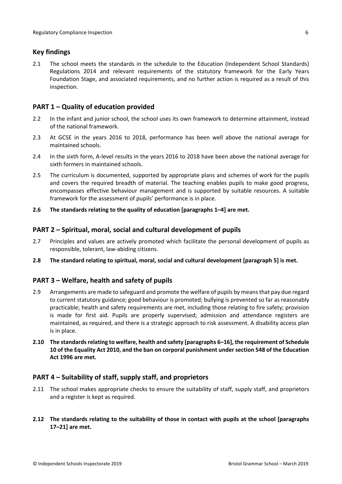## <span id="page-5-0"></span>**Key findings**

2.1 The school meets the standards in the schedule to the Education (Independent School Standards) Regulations 2014 and relevant requirements of the statutory framework for the Early Years Foundation Stage, and associated requirements, and no further action is required as a result of this inspection.

# <span id="page-5-1"></span>**PART 1 – Quality of education provided**

- 2.2 In the infant and junior school, the school uses its own framework to determine attainment, instead of the national framework.
- 2.3 At GCSE in the years 2016 to 2018, performance has been well above the national average for maintained schools.
- 2.4 In the sixth form, A-level results in the years 2016 to 2018 have been above the national average for sixth formers in maintained schools.
- 2.5 The curriculum is documented, supported by appropriate plans and schemes of work for the pupils and covers the required breadth of material. The teaching enables pupils to make good progress, encompasses effective behaviour management and is supported by suitable resources. A suitable framework for the assessment of pupils' performance is in place.
- **2.6 The standards relating to the quality of education [paragraphs 1–4] are met.**

#### <span id="page-5-2"></span>**PART 2 – Spiritual, moral, social and cultural development of pupils**

- 2.7 Principles and values are actively promoted which facilitate the personal development of pupils as responsible, tolerant, law-abiding citizens.
- **2.8 The standard relating to spiritual, moral, social and cultural development [paragraph 5] is met.**

#### <span id="page-5-3"></span>**PART 3 – Welfare, health and safety of pupils**

- 2.9 Arrangements are made to safeguard and promote the welfare of pupils by means that pay due regard to current statutory guidance; good behaviour is promoted; bullying is prevented so far as reasonably practicable; health and safety requirements are met, including those relating to fire safety; provision is made for first aid. Pupils are properly supervised; admission and attendance registers are maintained, as required, and there is a strategic approach to risk assessment. A disability access plan is in place.
- **2.10 The standardsrelating to welfare, health and safety [paragraphs 6–16], the requirement of Schedule 10 of the Equality Act 2010, and the ban on corporal punishment undersection 548 of the Education Act 1996 are met.**

#### <span id="page-5-4"></span>**PART 4 – Suitability of staff, supply staff, and proprietors**

- 2.11 The school makes appropriate checks to ensure the suitability of staff, supply staff, and proprietors and a register is kept as required.
- **2.12 The standards relating to the suitability of those in contact with pupils at the school [paragraphs 17–21] are met.**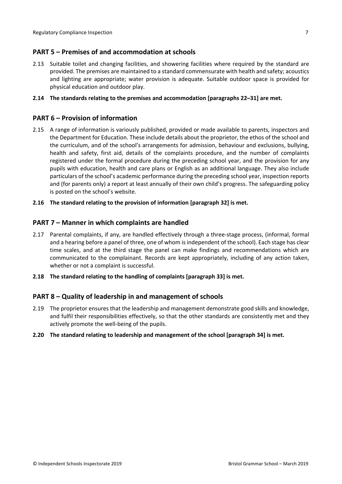## <span id="page-6-0"></span>**PART 5 – Premises of and accommodation at schools**

2.13 Suitable toilet and changing facilities, and showering facilities where required by the standard are provided. The premises are maintained to a standard commensurate with health and safety; acoustics and lighting are appropriate; water provision is adequate. Suitable outdoor space is provided for physical education and outdoor play.

#### **2.14 The standards relating to the premises and accommodation [paragraphs 22–31] are met.**

## <span id="page-6-1"></span>**PART 6 – Provision of information**

2.15 A range of information is variously published, provided or made available to parents, inspectors and the Department for Education. These include details about the proprietor, the ethos of the school and the curriculum, and of the school's arrangements for admission, behaviour and exclusions, bullying, health and safety, first aid, details of the complaints procedure, and the number of complaints registered under the formal procedure during the preceding school year, and the provision for any pupils with education, health and care plans or English as an additional language. They also include particulars of the school's academic performance during the preceding school year, inspection reports and (for parents only) a report at least annually of their own child's progress. The safeguarding policy is posted on the school's website.

#### **2.16 The standard relating to the provision of information [paragraph 32] is met.**

#### <span id="page-6-2"></span>**PART 7 – Manner in which complaints are handled**

- 2.17 Parental complaints, if any, are handled effectively through a three-stage process, (informal, formal and a hearing before a panel of three, one of whom is independent of the school). Each stage has clear time scales, and at the third stage the panel can make findings and recommendations which are communicated to the complainant. Records are kept appropriately, including of any action taken, whether or not a complaint is successful.
- **2.18 The standard relating to the handling of complaints [paragraph 33] is met.**

#### <span id="page-6-3"></span>**PART 8 – Quality of leadership in and management of schools**

2.19 The proprietor ensures that the leadership and management demonstrate good skills and knowledge, and fulfil their responsibilities effectively, so that the other standards are consistently met and they actively promote the well-being of the pupils.

#### **2.20 The standard relating to leadership and management of the school [paragraph 34] is met.**